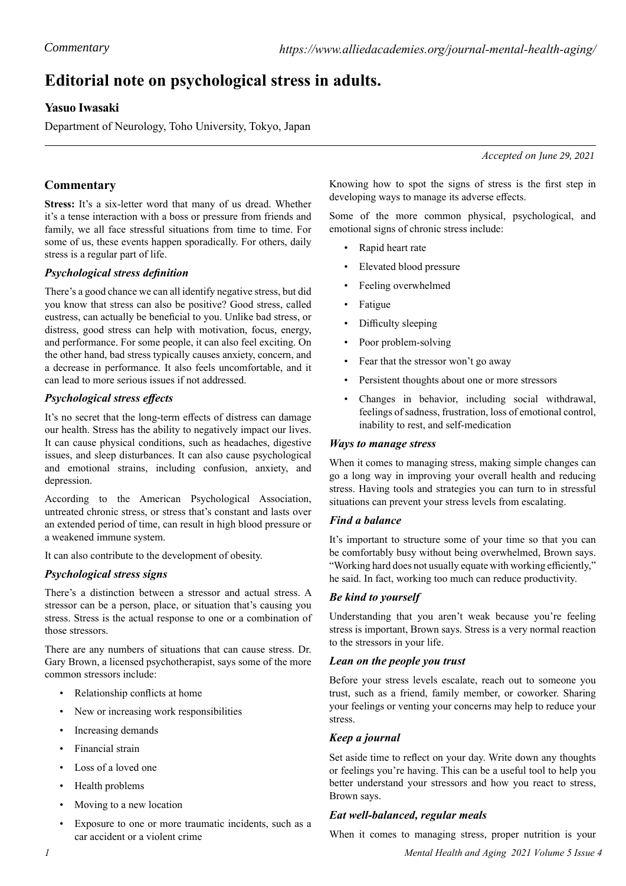# **Editorial note on psychological stress in adults.**

# **Yasuo Iwasaki**

Department of Neurology, Toho University, Tokyo, Japan

*Accepted on June 29, 2021*

## **Commentary**

**Stress:** It's a six-letter word that many of us dread. Whether it's a tense interaction with a boss or pressure from friends and family, we all face stressful situations from time to time. For some of us, these events happen sporadically. For others, daily stress is a regular part of life.

## *Psychological stress definition*

There's a good chance we can all identify negative stress, but did you know that stress can also be positive? Good stress, called eustress, can actually be beneficial to you. Unlike bad stress, or distress, good stress can help with motivation, focus, energy, and performance. For some people, it can also feel exciting. On the other hand, bad stress typically causes anxiety, concern, and a decrease in performance. It also feels uncomfortable, and it can lead to more serious issues if not addressed.

## *Psychological stress effects*

It's no secret that the long-term effects of distress can damage our health. Stress has the ability to negatively impact our lives. It can cause physical conditions, such as headaches, digestive issues, and sleep disturbances. It can also cause psychological and emotional strains, including confusion, anxiety, and depression.

According to the American Psychological Association, untreated chronic stress, or stress that's constant and lasts over an extended period of time, can result in high blood pressure or a weakened immune system.

It can also contribute to the development of obesity.

## *Psychological stress signs*

There's a distinction between a stressor and actual stress. A stressor can be a person, place, or situation that's causing you stress. Stress is the actual response to one or a combination of those stressors.

There are any numbers of situations that can cause stress. Dr. Gary Brown, a licensed psychotherapist, says some of the more common stressors include:

- Relationship conflicts at home
- New or increasing work responsibilities
- Increasing demands
- Financial strain
- Loss of a loved one
- Health problems
- Moving to a new location
- Exposure to one or more traumatic incidents, such as a car accident or a violent crime

Knowing how to spot the signs of stress is the first step in developing ways to manage its adverse effects.

Some of the more common physical, psychological, and emotional signs of chronic stress include:

- Rapid heart rate
- Elevated blood pressure
- Feeling overwhelmed
- Fatigue
- Difficulty sleeping
- Poor problem-solving
- Fear that the stressor won't go away
- Persistent thoughts about one or more stressors
- Changes in behavior, including social withdrawal, feelings of sadness, frustration, loss of emotional control, inability to rest, and self-medication

#### *Ways to manage stress*

When it comes to managing stress, making simple changes can go a long way in improving your overall health and reducing stress. Having tools and strategies you can turn to in stressful situations can prevent your stress levels from escalating.

#### *Find a balance*

It's important to structure some of your time so that you can be comfortably busy without being overwhelmed, Brown says. "Working hard does not usually equate with working efficiently," he said. In fact, working too much can reduce productivity.

#### *Be kind to yourself*

Understanding that you aren't weak because you're feeling stress is important, Brown says. Stress is a very normal reaction to the stressors in your life.

#### *Lean on the people you trust*

Before your stress levels escalate, reach out to someone you trust, such as a friend, family member, or coworker. Sharing your feelings or venting your concerns may help to reduce your stress.

#### *Keep a journal*

Set aside time to reflect on your day. Write down any thoughts or feelings you're having. This can be a useful tool to help you better understand your stressors and how you react to stress, Brown says.

#### *Eat well-balanced, regular meals*

When it comes to managing stress, proper nutrition is your